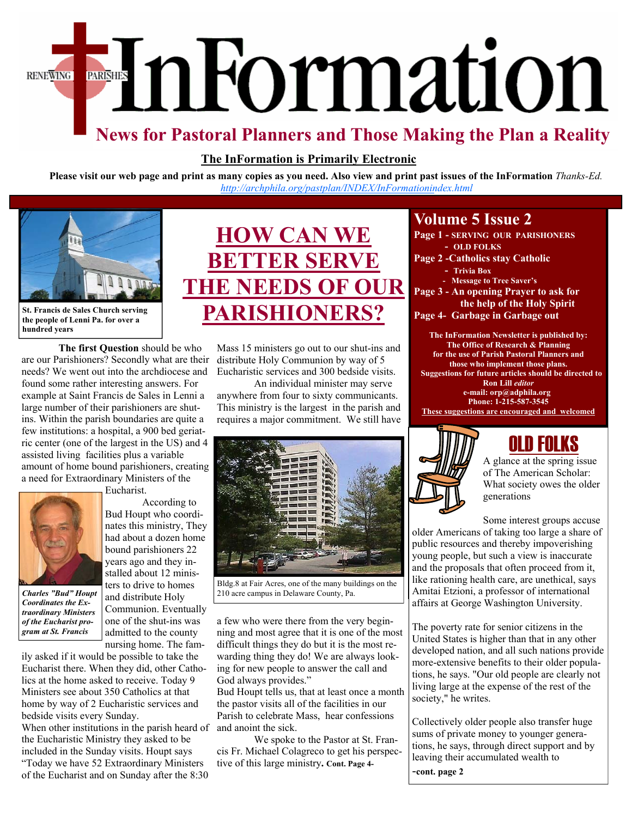# EmFormation **RENEWING**

## **News for Pastoral Planners and Those Making the Plan a Reality**

#### **The InFormation is Primarily Electronic**

**Please visit our web page and print as many copies as you need. Also view and print past issues of the InFormation** *Thanks-Ed. <http://archphila.org/pastplan/INDEX/InFormationindex.html>*



**St. Francis de Sales Church serving the people of Lenni Pa. for over a hundred years** 

**The first Question** should be who are our Parishioners? Secondly what are their needs? We went out into the archdiocese and found some rather interesting answers. For example at Saint Francis de Sales in Lenni a large number of their parishioners are shutins. Within the parish boundaries are quite a few institutions: a hospital, a 900 bed geriatric center (one of the largest in the US) and 4 assisted living facilities plus a variable amount of home bound parishioners, creating a need for Extraordinary Ministers of the



*Coordinates the Extraordinary Ministers of the Eucharist program at St. Francis* 

 According to Bud Houpt who coordinates this ministry, They had about a dozen home bound parishioners 22 years ago and they installed about 12 ministers to drive to homes and distribute Holy Communion. Eventually one of the shut-ins was admitted to the county

nursing home. The family asked if it would be possible to take the Eucharist there. When they did, other Catholics at the home asked to receive. Today 9 Ministers see about 350 Catholics at that home by way of 2 Eucharistic services and bedside visits every Sunday.

When other institutions in the parish heard of the Eucharistic Ministry they asked to be included in the Sunday visits. Houpt says "Today we have 52 Extraordinary Ministers

of the Eucharist and on Sunday after the 8:30



Mass 15 ministers go out to our shut-ins and distribute Holy Communion by way of 5 Eucharistic services and 300 bedside visits.

 An individual minister may serve anywhere from four to sixty communicants. This ministry is the largest in the parish and requires a major commitment. We still have



Bldg.8 at Fair Acres, one of the many buildings on the **Charles "Bud" Houpt and distribute II also campus in Delaware County, Pa.** 

a few who were there from the very beginning and most agree that it is one of the most difficult things they do but it is the most rewarding thing they do! We are always looking for new people to answer the call and God always provides."

Bud Houpt tells us, that at least once a month the pastor visits all of the facilities in our Parish to celebrate Mass, hear confessions and anoint the sick.

 We spoke to the Pastor at St. Francis Fr. Michael Colagreco to get his perspective of this large ministry**. Cont. Page 4-** 

### **Volume 5 Issue 2**

- **Page 1 SERVING OUR PARISHONERS - OLD FOLKS Page 2 -Catholics stay Catholic** 
	- **Trivia Box - Message to Tree Saver's**
- **Page 3 An opening Prayer to ask for the help of the Holy Spirit**
- **Page 4- Garbage in Garbage out**

**The InFormation Newsletter is published by: The Office of Research & Planning for the use of Parish Pastoral Planners and those who implement those plans. Suggestions for future articles should be directed to Ron Lill** *editor*  **e-mail: orp@adphila.org Phone: 1-215-587-3545 These suggestions are encouraged and welcomed** 



## OLD FOLKS

A glance at the spring issue of The American Scholar: What society owes the older generations

Some interest groups accuse older Americans of taking too large a share of public resources and thereby impoverishing young people, but such a view is inaccurate and the proposals that often proceed from it, like rationing health care, are unethical, says Amitai Etzioni, a professor of international affairs at George Washington University.

The poverty rate for senior citizens in the United States is higher than that in any other developed nation, and all such nations provide more-extensive benefits to their older populations, he says. "Our old people are clearly not living large at the expense of the rest of the society," he writes.

Collectively older people also transfer huge sums of private money to younger generations, he says, through direct support and by leaving their accumulated wealth to

-**cont. page 2**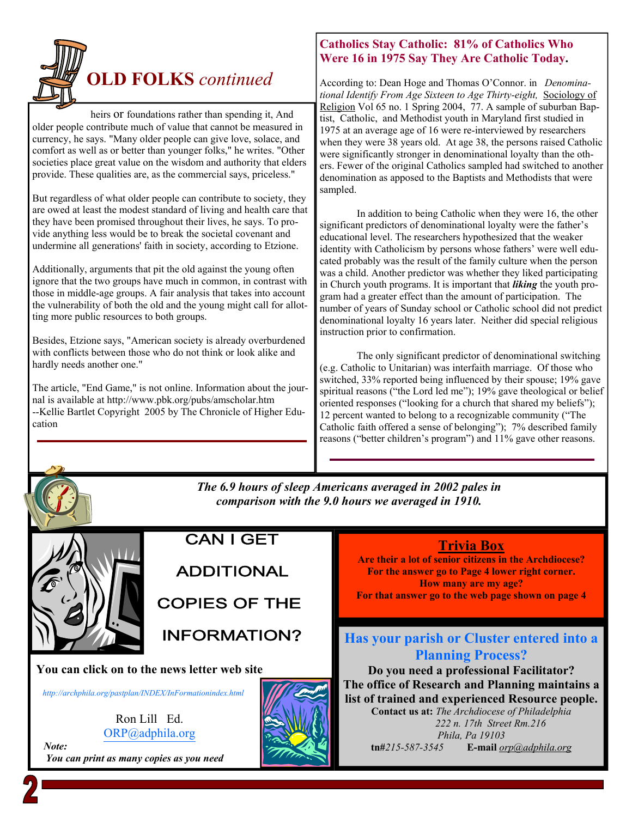

heirs or foundations rather than spending it, And older people contribute much of value that cannot be measured in currency, he says. "Many older people can give love, solace, and comfort as well as or better than younger folks," he writes. "Other societies place great value on the wisdom and authority that elders provide. These qualities are, as the commercial says, priceless."

But regardless of what older people can contribute to society, they are owed at least the modest standard of living and health care that they have been promised throughout their lives, he says. To provide anything less would be to break the societal covenant and undermine all generations' faith in society, according to Etzione.

Additionally, arguments that pit the old against the young often ignore that the two groups have much in common, in contrast with those in middle-age groups. A fair analysis that takes into account the vulnerability of both the old and the young might call for allotting more public resources to both groups.

Besides, Etzione says, "American society is already overburdened with conflicts between those who do not think or look alike and hardly needs another one."

The article, "End Game," is not online. Information about the journal is available at http://www.pbk.org/pubs/amscholar.htm --Kellie Bartlet Copyright 2005 by The Chronicle of Higher Education

#### **Catholics Stay Catholic: 81% of Catholics Who Were 16 in 1975 Say They Are Catholic Today.**

According to: Dean Hoge and Thomas O'Connor. in *Denominational Identify From Age Sixteen to Age Thirty-eight,* Sociology of Religion Vol 65 no. 1 Spring 2004, 77. A sample of suburban Baptist, Catholic, and Methodist youth in Maryland first studied in 1975 at an average age of 16 were re-interviewed by researchers when they were 38 years old. At age 38, the persons raised Catholic were significantly stronger in denominational loyalty than the others. Fewer of the original Catholics sampled had switched to another denomination as apposed to the Baptists and Methodists that were sampled.

 In addition to being Catholic when they were 16, the other significant predictors of denominational loyalty were the father's educational level. The researchers hypothesized that the weaker identity with Catholicism by persons whose fathers' were well educated probably was the result of the family culture when the person was a child. Another predictor was whether they liked participating in Church youth programs. It is important that *liking* the youth program had a greater effect than the amount of participation. The number of years of Sunday school or Catholic school did not predict denominational loyalty 16 years later. Neither did special religious instruction prior to confirmation.

 The only significant predictor of denominational switching (e.g. Catholic to Unitarian) was interfaith marriage. Of those who switched, 33% reported being influenced by their spouse; 19% gave spiritual reasons ("the Lord led me"); 19% gave theological or belief oriented responses ("looking for a church that shared my beliefs"); 12 percent wanted to belong to a recognizable community ("The Catholic faith offered a sense of belonging"); 7% described family reasons ("better children's program") and 11% gave other reasons.



**CAN I GET** 

**ADDITIONAL** 

**COPIES OF THE** 

**INFORMATION?** 

**You can click on to the news letter web site** 

*<http://archphila.org/pastplan/INDEX/InFormationindex.html>*

Ron Lill Ed. ORP@adphila.org

 *Note: You can print as many copies as you need* 



*The 6.9 hours of sleep Americans averaged in 2002 pales in comparison with the 9.0 hours we averaged in 1910.* 

#### **Trivia Box**

**Are their a lot of senior citizens in the Archdiocese? For the answer go to Page 4 lower right corner. How many are my age? For that answer go to the web page shown on page 4** 

#### **Has your parish or Cluster entered into a Planning Process?**

**Do you need a professional Facilitator? The office of Research and Planning maintains a list of trained and experienced Resource people. Contact us at:** *The Archdiocese of Philadelphia 222 n. 17th Street Rm.216 Phila, Pa 19103*  **tn#***215-587-3545* **E-mail** *orp@adphila.org*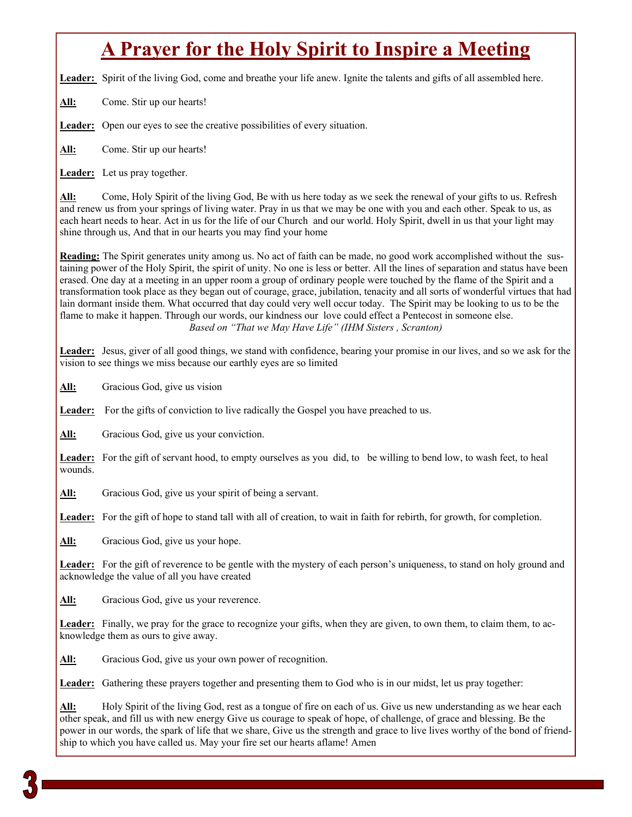# **A Prayer for the Holy Spirit to Inspire a Meeting**

Leader: Spirit of the living God, come and breathe your life anew. Ignite the talents and gifts of all assembled here.

All: Come. Stir up our hearts!

Leader: Open our eyes to see the creative possibilities of every situation.

**All:** Come. Stir up our hearts!

**Leader:** Let us pray together.

**All:** Come, Holy Spirit of the living God, Be with us here today as we seek the renewal of your gifts to us. Refresh and renew us from your springs of living water. Pray in us that we may be one with you and each other. Speak to us, as each heart needs to hear. Act in us for the life of our Church and our world. Holy Spirit, dwell in us that your light may shine through us, And that in our hearts you may find your home

**Reading:** The Spirit generates unity among us. No act of faith can be made, no good work accomplished without the sustaining power of the Holy Spirit, the spirit of unity. No one is less or better. All the lines of separation and status have been erased. One day at a meeting in an upper room a group of ordinary people were touched by the flame of the Spirit and a transformation took place as they began out of courage, grace, jubilation, tenacity and all sorts of wonderful virtues that had lain dormant inside them. What occurred that day could very well occur today. The Spirit may be looking to us to be the flame to make it happen. Through our words, our kindness our love could effect a Pentecost in someone else. *Based on "That we May Have Life" (IHM Sisters , Scranton)* 

**Leader:** Jesus, giver of all good things, we stand with confidence, bearing your promise in our lives, and so we ask for the vision to see things we miss because our earthly eyes are so limited

All: Gracious God, give us vision

Leader: For the gifts of conviction to live radically the Gospel you have preached to us.

**All:** Gracious God, give us your conviction.

**Leader:** For the gift of servant hood, to empty ourselves as you did, to be willing to bend low, to wash feet, to heal wounds.

All: Gracious God, give us your spirit of being a servant.

Leader: For the gift of hope to stand tall with all of creation, to wait in faith for rebirth, for growth, for completion.

**All:** Gracious God, give us your hope.

**Leader:** For the gift of reverence to be gentle with the mystery of each person's uniqueness, to stand on holy ground and acknowledge the value of all you have created

All: Gracious God, give us your reverence.

**Leader:** Finally, we pray for the grace to recognize your gifts, when they are given, to own them, to claim them, to acknowledge them as ours to give away.

All: Gracious God, give us your own power of recognition.

Leader: Gathering these prayers together and presenting them to God who is in our midst, let us pray together:

**All:** Holy Spirit of the living God, rest as a tongue of fire on each of us. Give us new understanding as we hear each other speak, and fill us with new energy Give us courage to speak of hope, of challenge, of grace and blessing. Be the power in our words, the spark of life that we share, Give us the strength and grace to live lives worthy of the bond of friendship to which you have called us. May your fire set our hearts aflame! Amen